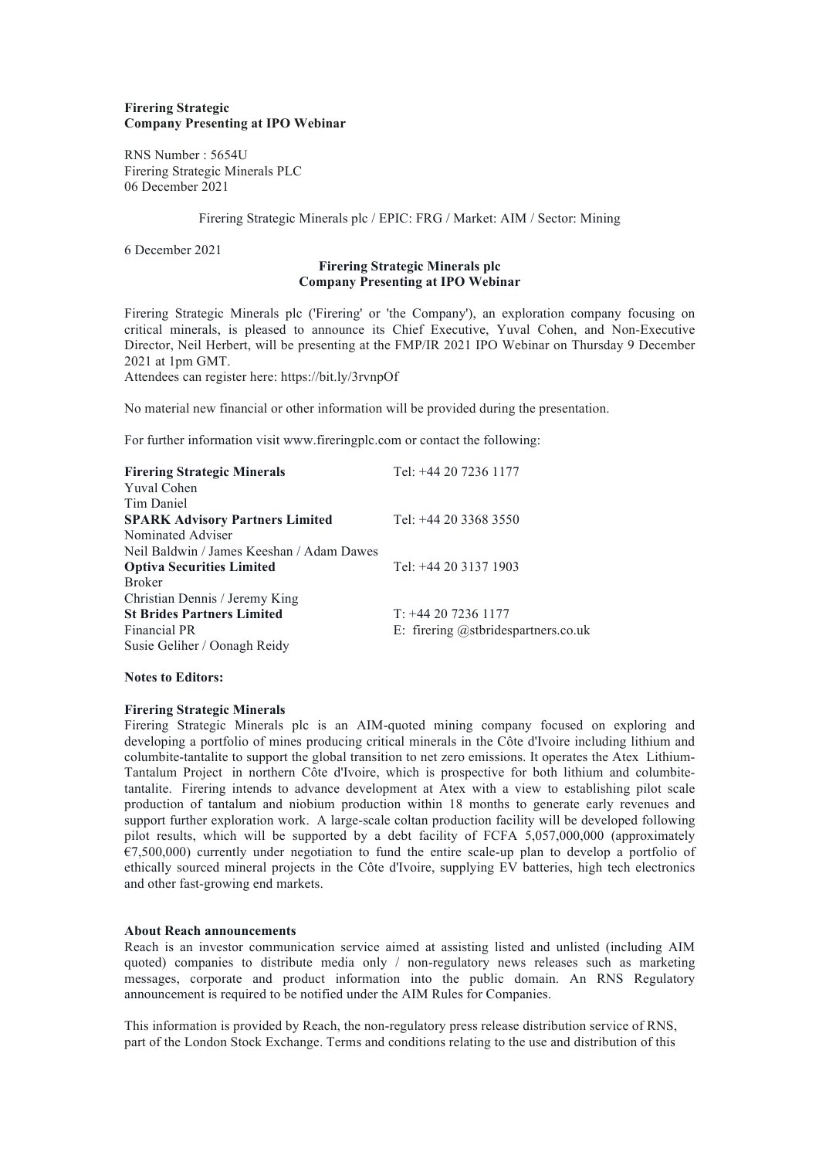### **Firering Strategic Company Presenting at IPO Webinar**

RNS Number : 5654U Firering Strategic Minerals PLC 06 December 2021

Firering Strategic Minerals plc / EPIC: FRG / Market: AIM / Sector: Mining

6 December 2021

# **Firering Strategic Minerals plc Company Presenting at IPO Webinar**

Firering Strategic Minerals plc ('Firering' or 'the Company'), an exploration company focusing on critical minerals, is pleased to announce its Chief Executive, Yuval Cohen, and Non-Executive Director, Neil Herbert, will be presenting at the FMP/IR 2021 IPO Webinar on Thursday 9 December 2021 at 1pm GMT.

Attendees can register here: https://bit.ly/3rvnpOf

No material new financial or other information will be provided during the presentation.

For further information visit www.fireringplc.com or contact the following:

| <b>Firering Strategic Minerals</b>        | Tel: +44 20 7236 1177               |
|-------------------------------------------|-------------------------------------|
| Yuval Cohen                               |                                     |
| Tim Daniel                                |                                     |
| <b>SPARK Advisory Partners Limited</b>    | Tel: +44 20 3368 3550               |
| Nominated Adviser                         |                                     |
| Neil Baldwin / James Keeshan / Adam Dawes |                                     |
| <b>Optiva Securities Limited</b>          | Tel: +44 20 3137 1903               |
| <b>Broker</b>                             |                                     |
| Christian Dennis / Jeremy King            |                                     |
| <b>St Brides Partners Limited</b>         | $T: +442072361177$                  |
| Financial PR                              | E: firering @stbridespartners.co.uk |
| Susie Geliher / Oonagh Reidy              |                                     |

### **Notes to Editors:**

# **Firering Strategic Minerals**

Firering Strategic Minerals plc is an AIM-quoted mining company focused on exploring and developing a portfolio of mines producing critical minerals in the Côte d'Ivoire including lithium and columbite-tantalite to support the global transition to net zero emissions. It operates the Atex Lithium-Tantalum Project in northern Côte d'Ivoire, which is prospective for both lithium and columbitetantalite. Firering intends to advance development at Atex with a view to establishing pilot scale production of tantalum and niobium production within 18 months to generate early revenues and support further exploration work. A large-scale coltan production facility will be developed following pilot results, which will be supported by a debt facility of FCFA 5,057,000,000 (approximately  $\overline{E}$ 7,500,000) currently under negotiation to fund the entire scale-up plan to develop a portfolio of ethically sourced mineral projects in the Côte d'Ivoire, supplying EV batteries, high tech electronics and other fast-growing end markets.

#### **About Reach announcements**

Reach is an investor communication service aimed at assisting listed and unlisted (including AIM quoted) companies to distribute media only / non-regulatory news releases such as marketing messages, corporate and product information into the public domain. An RNS Regulatory announcement is required to be notified under the AIM Rules for Companies.

This information is provided by Reach, the non-regulatory press release distribution service of RNS, part of the London Stock Exchange. Terms and conditions relating to the use and distribution of this